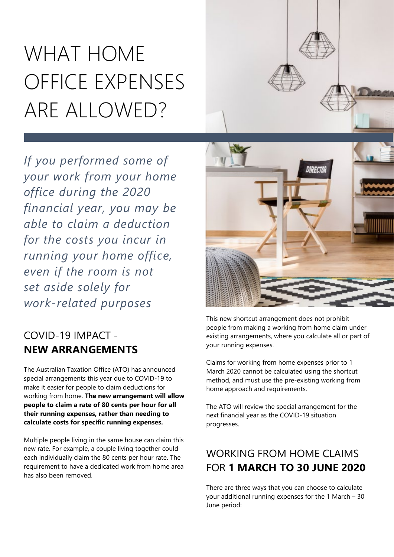# WHAT HOME OFFICE EXPENSES ARE ALLOWED?

*If you performed some of your work from your home office during the 2020 financial year, you may be able to claim a deduction for the costs you incur in running your home office, even if the room is not set aside solely for work-related purposes*

# COVID-19 IMPACT - **NEW ARRANGEMENTS**

The Australian Taxation Office (ATO) has announced special arrangements this year due to COVID-19 to make it easier for people to claim deductions for working from home. **The new arrangement will allow people to claim a rate of 80 cents per hour for all their running expenses, rather than needing to calculate costs for specific running expenses.**

Multiple people living in the same house can claim this new rate. For example, a couple living together could each individually claim the 80 cents per hour rate. The requirement to have a dedicated work from home area has also been removed.



This new shortcut arrangement does not prohibit people from making a working from home claim under existing arrangements, where you calculate all or part of your running expenses.

Claims for working from home expenses prior to 1 March 2020 cannot be calculated using the shortcut method, and must use the pre-existing working from home approach and requirements.

The ATO will review the special arrangement for the next financial year as the COVID-19 situation progresses.

## WORKING FROM HOME CLAIMS FOR **1 MARCH TO 30 JUNE 2020**

There are three ways that you can choose to calculate your additional running expenses for the 1 March – 30 June period: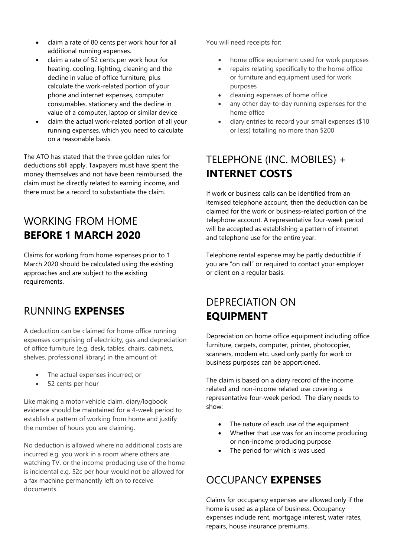- claim a rate of 80 cents per work hour for all additional running expenses.
- claim a rate of 52 cents per work hour for heating, cooling, lighting, cleaning and the decline in value of office furniture, plus calculate the work-related portion of your phone and internet expenses, computer consumables, stationery and the decline in value of a computer, laptop or similar device
- claim the actual work-related portion of all your running expenses, which you need to calculate on a reasonable basis.

The ATO has stated that the three golden rules for deductions still apply. Taxpayers must have spent the money themselves and not have been reimbursed, the claim must be directly related to earning income, and there must be a record to substantiate the claim.

## WORKING FROM HOME **BEFORE 1 MARCH 2020**

Claims for working from home expenses prior to 1 March 2020 should be calculated using the existing approaches and are subject to the existing requirements.

#### RUNNING **EXPENSES**

A deduction can be claimed for home office running expenses comprising of electricity, gas and depreciation of office furniture (e.g. desk, tables, chairs, cabinets, shelves, professional library) in the amount of:

- The actual expenses incurred; or
- 52 cents per hour

Like making a motor vehicle claim, diary/logbook evidence should be maintained for a 4-week period to establish a pattern of working from home and justify the number of hours you are claiming.

No deduction is allowed where no additional costs are incurred e.g. you work in a room where others are watching TV, or the income producing use of the home is incidental e.g. 52c per hour would not be allowed for a fax machine permanently left on to receive documents.

You will need receipts for:

- home office equipment used for work purposes
- repairs relating specifically to the home office or furniture and equipment used for work purposes
- cleaning expenses of home office
- any other day-to-day running expenses for the home office
- diary entries to record your small expenses (\$10 or less) totalling no more than \$200

## TELEPHONE (INC. MOBILES) + **INTERNET COSTS**

If work or business calls can be identified from an itemised telephone account, then the deduction can be claimed for the work or business-related portion of the telephone account. A representative four-week period will be accepted as establishing a pattern of internet and telephone use for the entire year.

Telephone rental expense may be partly deductible if you are "on call" or required to contact your employer or client on a regular basis.

#### DEPRECIATION ON **EQUIPMENT**

Depreciation on home office equipment including office furniture, carpets, computer, printer, photocopier, scanners, modem etc. used only partly for work or business purposes can be apportioned.

The claim is based on a diary record of the income related and non-income related use covering a representative four-week period. The diary needs to show:

- The nature of each use of the equipment
- Whether that use was for an income producing or non-income producing purpose
- The period for which is was used

#### OCCUPANCY **EXPENSES**

Claims for occupancy expenses are allowed only if the home is used as a place of business. Occupancy expenses include rent, mortgage interest, water rates, repairs, house insurance premiums.